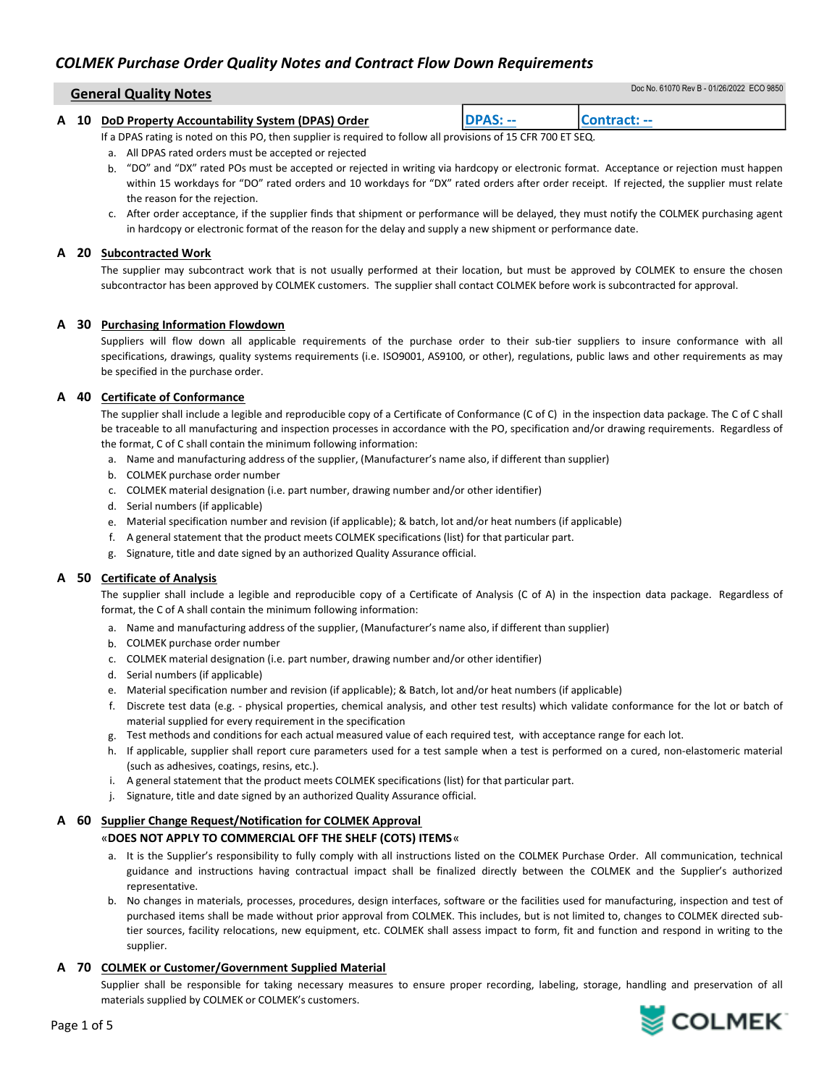# COLMEK Purchase Order Quality Notes and Contract Flow Down Requirements

| <b>General Quality Notes</b> |  | Doc No. 61070 Rev B - 01/26/2022 ECO 9850 |
|------------------------------|--|-------------------------------------------|
|                              |  |                                           |

|  | A 10 DoD Property Accountability System (DPAS) Order |                                                 |  |
|--|------------------------------------------------------|-------------------------------------------------|--|
|  | ----                                                 | $\sim$ - $\sim$ - $\sim$ - $\sim$ $\sim$ $\sim$ |  |

If a DPAS rating is noted on this PO, then supplier is required to follow all provisions of 15 CFR 700 ET SEQ.

- a. All DPAS rated orders must be accepted or rejected
- b. "DO" and "DX" rated POs must be accepted or rejected in writing via hardcopy or electronic format. Acceptance or rejection must happen within 15 workdays for "DO" rated orders and 10 workdays for "DX" rated orders after order receipt. If rejected, the supplier must relate the reason for the rejection.
- c. After order acceptance, if the supplier finds that shipment or performance will be delayed, they must notify the COLMEK purchasing agent in hardcopy or electronic format of the reason for the delay and supply a new shipment or performance date.

# A 20 Subcontracted Work

The supplier may subcontract work that is not usually performed at their location, but must be approved by COLMEK to ensure the chosen subcontractor has been approved by COLMEK customers. The supplier shall contact COLMEK before work is subcontracted for approval.

# A 30 Purchasing Information Flowdown

Suppliers will flow down all applicable requirements of the purchase order to their sub-tier suppliers to insure conformance with all specifications, drawings, quality systems requirements (i.e. ISO9001, AS9100, or other), regulations, public laws and other requirements as may be specified in the purchase order.

# A 40 Certificate of Conformance

The supplier shall include a legible and reproducible copy of a Certificate of Conformance (C of C) in the inspection data package. The C of C shall be traceable to all manufacturing and inspection processes in accordance with the PO, specification and/or drawing requirements. Regardless of the format, C of C shall contain the minimum following information:

- a. Name and manufacturing address of the supplier, (Manufacturer's name also, if different than supplier)
- b. COLMEK purchase order number
- c. COLMEK material designation (i.e. part number, drawing number and/or other identifier)
- d. Serial numbers (if applicable)
- e. Material specification number and revision (if applicable); & batch, lot and/or heat numbers (if applicable)
- f. A general statement that the product meets COLMEK specifications (list) for that particular part.
- g. Signature, title and date signed by an authorized Quality Assurance official.

# A 50 Certificate of Analysis

The supplier shall include a legible and reproducible copy of a Certificate of Analysis (C of A) in the inspection data package. Regardless of format, the C of A shall contain the minimum following information:

- a. Name and manufacturing address of the supplier, (Manufacturer's name also, if different than supplier)
- b. COLMEK purchase order number
- c. COLMEK material designation (i.e. part number, drawing number and/or other identifier)
- d. Serial numbers (if applicable)
- e. Material specification number and revision (if applicable); & Batch, lot and/or heat numbers (if applicable)
- f. Discrete test data (e.g. physical properties, chemical analysis, and other test results) which validate conformance for the lot or batch of material supplied for every requirement in the specification
- g. Test methods and conditions for each actual measured value of each required test, with acceptance range for each lot.
- h. If applicable, supplier shall report cure parameters used for a test sample when a test is performed on a cured, non-elastomeric material (such as adhesives, coatings, resins, etc.).
- i. A general statement that the product meets COLMEK specifications (list) for that particular part.
- j. Signature, title and date signed by an authorized Quality Assurance official.

# A 60 Supplier Change Request/Notification for COLMEK Approval

# «DOES NOT APPLY TO COMMERCIAL OFF THE SHELF (COTS) ITEMS«

- a. It is the Supplier's responsibility to fully comply with all instructions listed on the COLMEK Purchase Order. All communication, technical guidance and instructions having contractual impact shall be finalized directly between the COLMEK and the Supplier's authorized representative.
- b. No changes in materials, processes, procedures, design interfaces, software or the facilities used for manufacturing, inspection and test of purchased items shall be made without prior approval from COLMEK. This includes, but is not limited to, changes to COLMEK directed subtier sources, facility relocations, new equipment, etc. COLMEK shall assess impact to form, fit and function and respond in writing to the supplier.

# A 70 COLMEK or Customer/Government Supplied Material

Supplier shall be responsible for taking necessary measures to ensure proper recording, labeling, storage, handling and preservation of all materials supplied by COLMEK or COLMEK's customers.

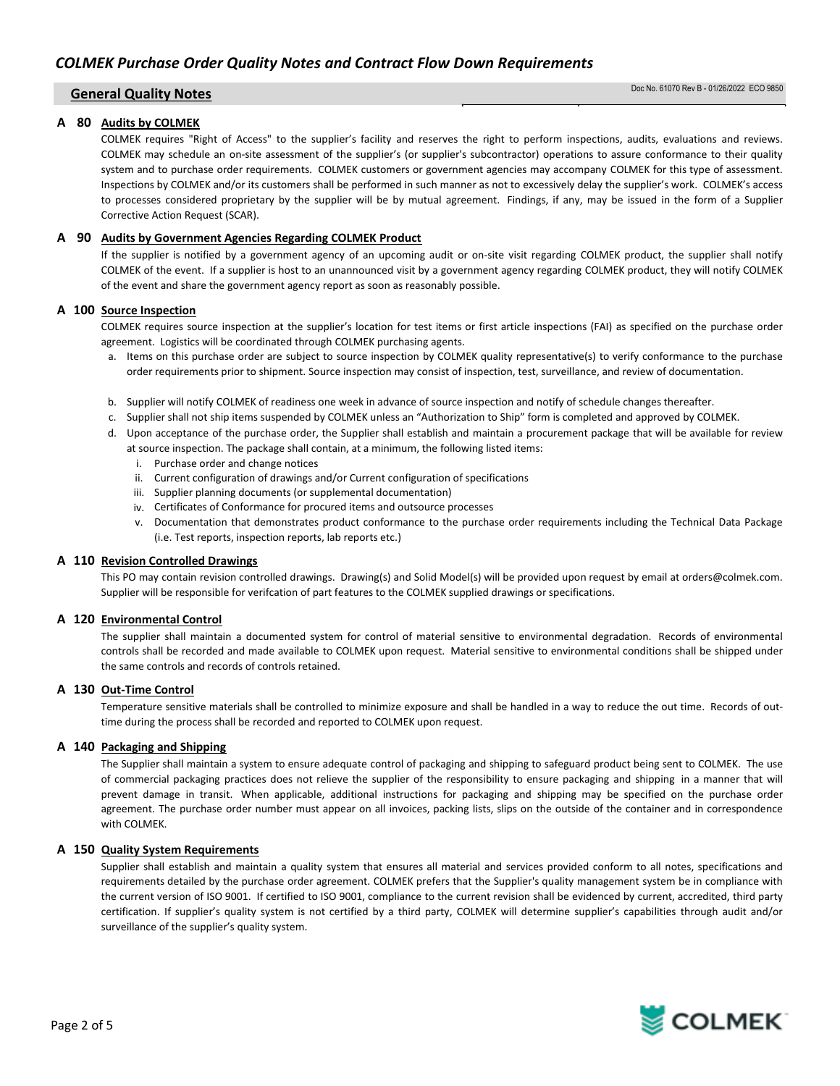### A 80 Audits by COLMEK

COLMEK requires "Right of Access" to the supplier's facility and reserves the right to perform inspections, audits, evaluations and reviews. COLMEK may schedule an on-site assessment of the supplier's (or supplier's subcontractor) operations to assure conformance to their quality system and to purchase order requirements. COLMEK customers or government agencies may accompany COLMEK for this type of assessment. Inspections by COLMEK and/or its customers shall be performed in such manner as not to excessively delay the supplier's work. COLMEK's access to processes considered proprietary by the supplier will be by mutual agreement. Findings, if any, may be issued in the form of a Supplier Corrective Action Request (SCAR).

### A 90 Audits by Government Agencies Regarding COLMEK Product

If the supplier is notified by a government agency of an upcoming audit or on-site visit regarding COLMEK product, the supplier shall notify COLMEK of the event. If a supplier is host to an unannounced visit by a government agency regarding COLMEK product, they will notify COLMEK of the event and share the government agency report as soon as reasonably possible.

### A 100 Source Inspection

COLMEK requires source inspection at the supplier's location for test items or first article inspections (FAI) as specified on the purchase order agreement. Logistics will be coordinated through COLMEK purchasing agents.

- a. Items on this purchase order are subject to source inspection by COLMEK quality representative(s) to verify conformance to the purchase order requirements prior to shipment. Source inspection may consist of inspection, test, surveillance, and review of documentation.
- b. Supplier will notify COLMEK of readiness one week in advance of source inspection and notify of schedule changes thereafter.
- c. Supplier shall not ship items suspended by COLMEK unless an "Authorization to Ship" form is completed and approved by COLMEK.
- d. Upon acceptance of the purchase order, the Supplier shall establish and maintain a procurement package that will be available for review at source inspection. The package shall contain, at a minimum, the following listed items:
	- i. Purchase order and change notices
	- ii. Current configuration of drawings and/or Current configuration of specifications
	- iii. Supplier planning documents (or supplemental documentation)
	- iv. Certificates of Conformance for procured items and outsource processes
	- v. Documentation that demonstrates product conformance to the purchase order requirements including the Technical Data Package (i.e. Test reports, inspection reports, lab reports etc.)

### A 110 Revision Controlled Drawings

This PO may contain revision controlled drawings. Drawing(s) and Solid Model(s) will be provided upon request by email at orders@colmek.com. Supplier will be responsible for verifcation of part features to the COLMEK supplied drawings or specifications.

### A 120 Environmental Control

The supplier shall maintain a documented system for control of material sensitive to environmental degradation. Records of environmental controls shall be recorded and made available to COLMEK upon request. Material sensitive to environmental conditions shall be shipped under the same controls and records of controls retained.

### A 130 Out-Time Control

Temperature sensitive materials shall be controlled to minimize exposure and shall be handled in a way to reduce the out time. Records of outtime during the process shall be recorded and reported to COLMEK upon request.

### A 140 Packaging and Shipping

The Supplier shall maintain a system to ensure adequate control of packaging and shipping to safeguard product being sent to COLMEK. The use of commercial packaging practices does not relieve the supplier of the responsibility to ensure packaging and shipping in a manner that will prevent damage in transit. When applicable, additional instructions for packaging and shipping may be specified on the purchase order agreement. The purchase order number must appear on all invoices, packing lists, slips on the outside of the container and in correspondence with COLMEK.

### A 150 Quality System Requirements

Supplier shall establish and maintain a quality system that ensures all material and services provided conform to all notes, specifications and requirements detailed by the purchase order agreement. COLMEK prefers that the Supplier's quality management system be in compliance with the current version of ISO 9001. If certified to ISO 9001, compliance to the current revision shall be evidenced by current, accredited, third party certification. If supplier's quality system is not certified by a third party, COLMEK will determine supplier's capabilities through audit and/or surveillance of the supplier's quality system.

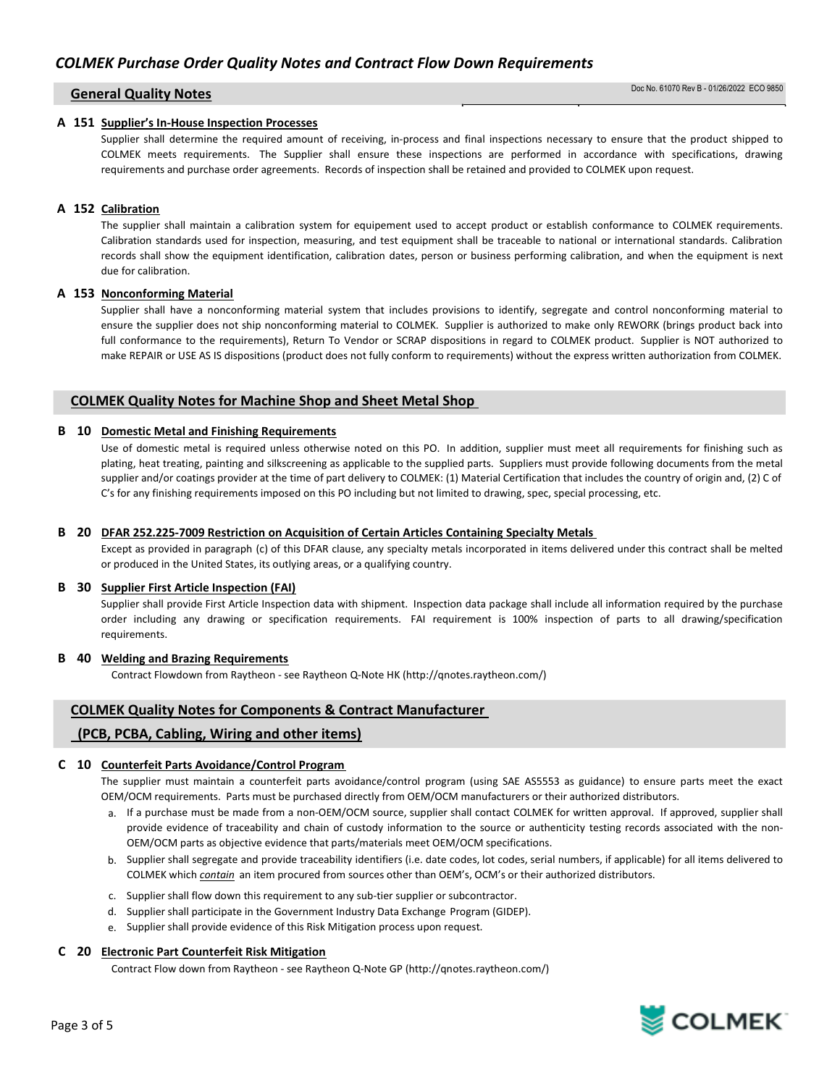### A 151 Supplier's In-House Inspection Processes

Supplier shall determine the required amount of receiving, in-process and final inspections necessary to ensure that the product shipped to COLMEK meets requirements. The Supplier shall ensure these inspections are performed in accordance with specifications, drawing requirements and purchase order agreements. Records of inspection shall be retained and provided to COLMEK upon request.

# A 152 Calibration

The supplier shall maintain a calibration system for equipement used to accept product or establish conformance to COLMEK requirements. Calibration standards used for inspection, measuring, and test equipment shall be traceable to national or international standards. Calibration records shall show the equipment identification, calibration dates, person or business performing calibration, and when the equipment is next due for calibration.

# A 153 Nonconforming Material

Supplier shall have a nonconforming material system that includes provisions to identify, segregate and control nonconforming material to ensure the supplier does not ship nonconforming material to COLMEK. Supplier is authorized to make only REWORK (brings product back into full conformance to the requirements), Return To Vendor or SCRAP dispositions in regard to COLMEK product. Supplier is NOT authorized to make REPAIR or USE AS IS dispositions (product does not fully conform to requirements) without the express written authorization from COLMEK.

# COLMEK Quality Notes for Machine Shop and Sheet Metal Shop

### B 10 Domestic Metal and Finishing Requirements

Use of domestic metal is required unless otherwise noted on this PO. In addition, supplier must meet all requirements for finishing such as plating, heat treating, painting and silkscreening as applicable to the supplied parts. Suppliers must provide following documents from the metal supplier and/or coatings provider at the time of part delivery to COLMEK: (1) Material Certification that includes the country of origin and, (2) C of C's for any finishing requirements imposed on this PO including but not limited to drawing, spec, special processing, etc.

### B 20 DFAR 252.225-7009 Restriction on Acquisition of Certain Articles Containing Specialty Metals

Except as provided in paragraph (c) of this DFAR clause, any specialty metals incorporated in items delivered under this contract shall be melted or produced in the United States, its outlying areas, or a qualifying country.

### B 30 Supplier First Article Inspection (FAI)

Supplier shall provide First Article Inspection data with shipment. Inspection data package shall include all information required by the purchase order including any drawing or specification requirements. FAI requirement is 100% inspection of parts to all drawing/specification requirements.

### B 40 Welding and Brazing Requirements

Contract Flowdown from Raytheon - see Raytheon Q-Note HK (http://qnotes.raytheon.com/)

# COLMEK Quality Notes for Components & Contract Manufacturer

# (PCB, PCBA, Cabling, Wiring and other items)

### C 10 Counterfeit Parts Avoidance/Control Program

The supplier must maintain a counterfeit parts avoidance/control program (using SAE AS5553 as guidance) to ensure parts meet the exact OEM/OCM requirements. Parts must be purchased directly from OEM/OCM manufacturers or their authorized distributors.

- a. If a purchase must be made from a non-OEM/OCM source, supplier shall contact COLMEK for written approval. If approved, supplier shall provide evidence of traceability and chain of custody information to the source or authenticity testing records associated with the non-OEM/OCM parts as objective evidence that parts/materials meet OEM/OCM specifications.
- b. Supplier shall segregate and provide traceability identifiers (i.e. date codes, lot codes, serial numbers, if applicable) for all items delivered to COLMEK which *contain* an item procured from sources other than OEM's, OCM's or their authorized distributors.
- c. Supplier shall flow down this requirement to any sub-tier supplier or subcontractor.
- d. Supplier shall participate in the Government Industry Data Exchange Program (GIDEP).
- e. Supplier shall provide evidence of this Risk Mitigation process upon request.

### C 20 Electronic Part Counterfeit Risk Mitigation

Contract Flow down from Raytheon - see Raytheon Q-Note GP (http://qnotes.raytheon.com/)

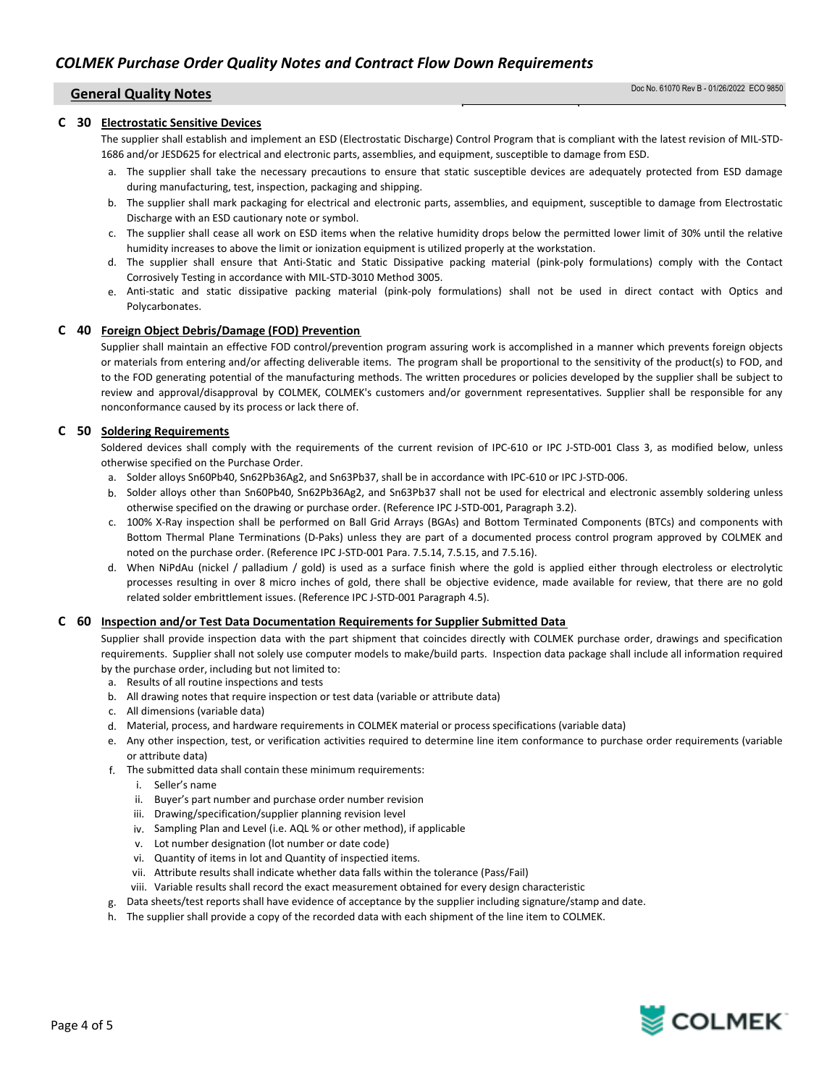### C 30 Electrostatic Sensitive Devices

The supplier shall establish and implement an ESD (Electrostatic Discharge) Control Program that is compliant with the latest revision of MIL-STD-1686 and/or JESD625 for electrical and electronic parts, assemblies, and equipment, susceptible to damage from ESD.

- a. The supplier shall take the necessary precautions to ensure that static susceptible devices are adequately protected from ESD damage during manufacturing, test, inspection, packaging and shipping.
- b. The supplier shall mark packaging for electrical and electronic parts, assemblies, and equipment, susceptible to damage from Electrostatic Discharge with an ESD cautionary note or symbol.
- c. The supplier shall cease all work on ESD items when the relative humidity drops below the permitted lower limit of 30% until the relative humidity increases to above the limit or ionization equipment is utilized properly at the workstation.
- d. The supplier shall ensure that Anti-Static and Static Dissipative packing material (pink-poly formulations) comply with the Contact Corrosively Testing in accordance with MIL-STD-3010 Method 3005.
- e. Anti-static and static dissipative packing material (pink-poly formulations) shall not be used in direct contact with Optics and Polycarbonates.

### C 40 Foreign Object Debris/Damage (FOD) Prevention

Supplier shall maintain an effective FOD control/prevention program assuring work is accomplished in a manner which prevents foreign objects or materials from entering and/or affecting deliverable items. The program shall be proportional to the sensitivity of the product(s) to FOD, and to the FOD generating potential of the manufacturing methods. The written procedures or policies developed by the supplier shall be subject to review and approval/disapproval by COLMEK, COLMEK's customers and/or government representatives. Supplier shall be responsible for any nonconformance caused by its process or lack there of.

# C 50 Soldering Requirements

Soldered devices shall comply with the requirements of the current revision of IPC-610 or IPC J-STD-001 Class 3, as modified below, unless otherwise specified on the Purchase Order.

- a. Solder alloys Sn60Pb40, Sn62Pb36Ag2, and Sn63Pb37, shall be in accordance with IPC-610 or IPC J-STD-006.
- b. Solder alloys other than Sn60Pb40, Sn62Pb36Ag2, and Sn63Pb37 shall not be used for electrical and electronic assembly soldering unless otherwise specified on the drawing or purchase order. (Reference IPC J-STD-001, Paragraph 3.2).
- c. 100% X-Ray inspection shall be performed on Ball Grid Arrays (BGAs) and Bottom Terminated Components (BTCs) and components with Bottom Thermal Plane Terminations (D-Paks) unless they are part of a documented process control program approved by COLMEK and noted on the purchase order. (Reference IPC J-STD-001 Para. 7.5.14, 7.5.15, and 7.5.16).
- d. When NiPdAu (nickel / palladium / gold) is used as a surface finish where the gold is applied either through electroless or electrolytic processes resulting in over 8 micro inches of gold, there shall be objective evidence, made available for review, that there are no gold related solder embrittlement issues. (Reference IPC J-STD-001 Paragraph 4.5).

### C 60 Inspection and/or Test Data Documentation Requirements for Supplier Submitted Data

Supplier shall provide inspection data with the part shipment that coincides directly with COLMEK purchase order, drawings and specification requirements. Supplier shall not solely use computer models to make/build parts. Inspection data package shall include all information required by the purchase order, including but not limited to:

- a. Results of all routine inspections and tests
- b. All drawing notes that require inspection or test data (variable or attribute data)
- c. All dimensions (variable data)
- d. Material, process, and hardware requirements in COLMEK material or process specifications (variable data)
- e. Any other inspection, test, or verification activities required to determine line item conformance to purchase order requirements (variable or attribute data)
- f. The submitted data shall contain these minimum requirements:
	- i. Seller's name
	- ii. Buyer's part number and purchase order number revision
	- iii. Drawing/specification/supplier planning revision level
	- iv. Sampling Plan and Level (i.e. AQL % or other method), if applicable
	- v. Lot number designation (lot number or date code)
	- vi. Quantity of items in lot and Quantity of inspectied items.
	- vii. Attribute results shall indicate whether data falls within the tolerance (Pass/Fail)
	- viii. Variable results shall record the exact measurement obtained for every design characteristic
- g. Data sheets/test reports shall have evidence of acceptance by the supplier including signature/stamp and date.
- h. The supplier shall provide a copy of the recorded data with each shipment of the line item to COLMEK.